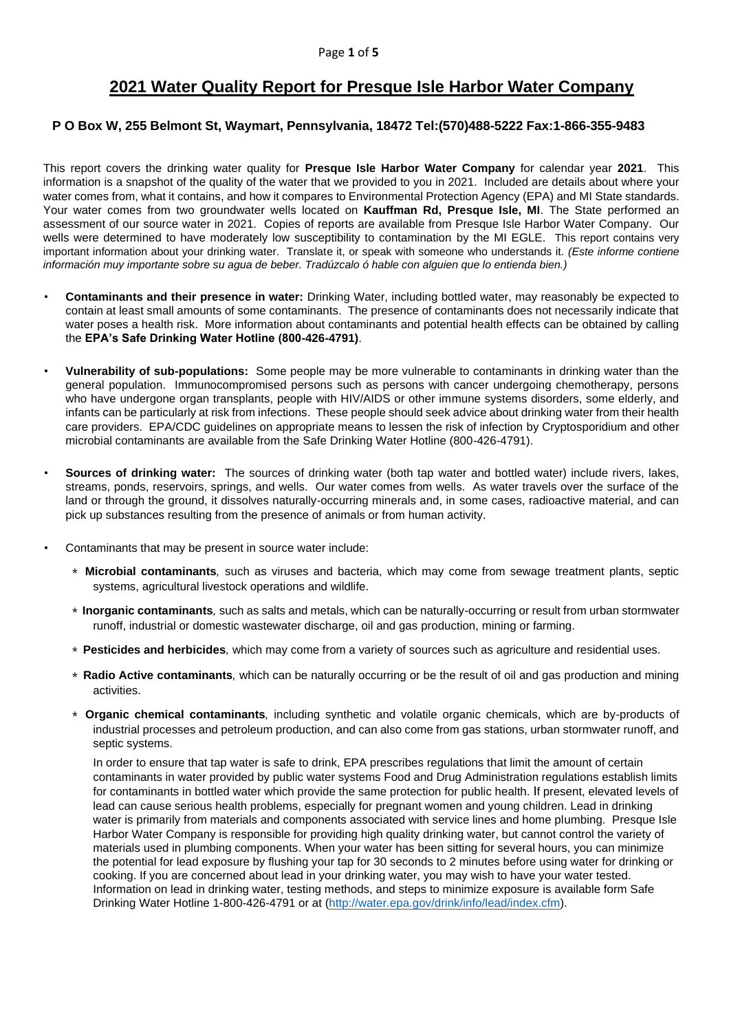# **2021 Water Quality Report for Presque Isle Harbor Water Company**

## **P O Box W, 255 Belmont St, Waymart, Pennsylvania, 18472 Tel:(570)488-5222 Fax:1-866-355-9483**

This report covers the drinking water quality for **Presque Isle Harbor Water Company** for calendar year **2021**. This information is a snapshot of the quality of the water that we provided to you in 2021. Included are details about where your water comes from, what it contains, and how it compares to Environmental Protection Agency (EPA) and MI State standards. Your water comes from two groundwater wells located on **Kauffman Rd, Presque Isle, MI**. The State performed an assessment of our source water in 2021. Copies of reports are available from Presque Isle Harbor Water Company. Our wells were determined to have moderately low susceptibility to contamination by the MI EGLE. This report contains very important information about your drinking water. Translate it, or speak with someone who understands it. *(Este informe contiene información muy importante sobre su agua de beber. Tradúzcalo ó hable con alguien que lo entienda bien.)*

- **Contaminants and their presence in water:** Drinking Water, including bottled water, may reasonably be expected to contain at least small amounts of some contaminants. The presence of contaminants does not necessarily indicate that water poses a health risk. More information about contaminants and potential health effects can be obtained by calling the **EPA's Safe Drinking Water Hotline (800-426-4791)**.
- **Vulnerability of sub-populations:** Some people may be more vulnerable to contaminants in drinking water than the general population. Immunocompromised persons such as persons with cancer undergoing chemotherapy, persons who have undergone organ transplants, people with HIV/AIDS or other immune systems disorders, some elderly, and infants can be particularly at risk from infections. These people should seek advice about drinking water from their health care providers. EPA/CDC guidelines on appropriate means to lessen the risk of infection by Cryptosporidium and other microbial contaminants are available from the Safe Drinking Water Hotline (800-426-4791).
- **Sources of drinking water:** The sources of drinking water (both tap water and bottled water) include rivers, lakes, streams, ponds, reservoirs, springs, and wells. Our water comes from wells. As water travels over the surface of the land or through the ground, it dissolves naturally-occurring minerals and, in some cases, radioactive material, and can pick up substances resulting from the presence of animals or from human activity.
- Contaminants that may be present in source water include:
	- ∗ **Microbial contaminants***,* such as viruses and bacteria, which may come from sewage treatment plants, septic systems, agricultural livestock operations and wildlife.
	- ∗ **Inorganic contaminants***,* such as salts and metals, which can be naturally-occurring or result from urban stormwater runoff, industrial or domestic wastewater discharge, oil and gas production, mining or farming.
	- ∗ **Pesticides and herbicides***,* which may come from a variety of sources such as agriculture and residential uses.
	- ∗ **Radio Active contaminants***,* which can be naturally occurring or be the result of oil and gas production and mining activities.
	- ∗ **Organic chemical contaminants***,* including synthetic and volatile organic chemicals, which are by-products of industrial processes and petroleum production, and can also come from gas stations, urban stormwater runoff, and septic systems.

In order to ensure that tap water is safe to drink, EPA prescribes regulations that limit the amount of certain contaminants in water provided by public water systems Food and Drug Administration regulations establish limits for contaminants in bottled water which provide the same protection for public health. If present, elevated levels of lead can cause serious health problems, especially for pregnant women and young children. Lead in drinking water is primarily from materials and components associated with service lines and home plumbing. Presque Isle Harbor Water Company is responsible for providing high quality drinking water, but cannot control the variety of materials used in plumbing components. When your water has been sitting for several hours, you can minimize the potential for lead exposure by flushing your tap for 30 seconds to 2 minutes before using water for drinking or cooking. If you are concerned about lead in your drinking water, you may wish to have your water tested. Information on lead in drinking water, testing methods, and steps to minimize exposure is available form Safe Drinking Water Hotline 1-800-426-4791 or at [\(http://water.epa.gov/drink/info/lead/index.cfm\)](http://water.epa.gov/drink/info/lead/index.cfm).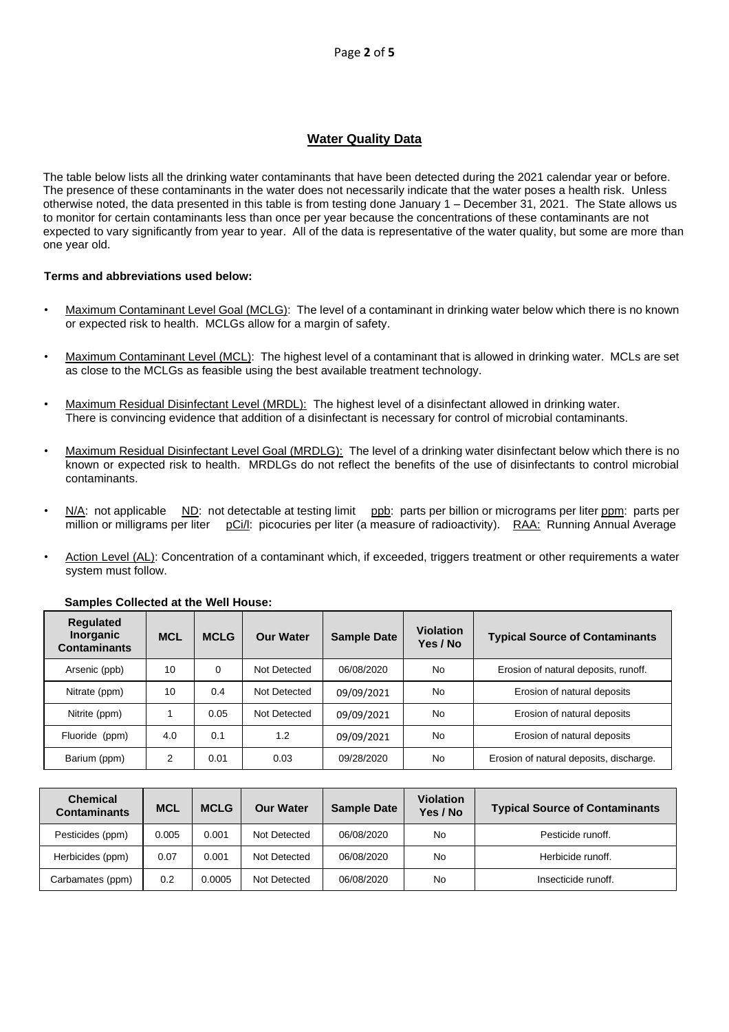## **Water Quality Data**

The table below lists all the drinking water contaminants that have been detected during the 2021 calendar year or before. The presence of these contaminants in the water does not necessarily indicate that the water poses a health risk. Unless otherwise noted, the data presented in this table is from testing done January 1 – December 31, 2021. The State allows us to monitor for certain contaminants less than once per year because the concentrations of these contaminants are not expected to vary significantly from year to year. All of the data is representative of the water quality, but some are more than one year old.

#### **Terms and abbreviations used below:**

- Maximum Contaminant Level Goal (MCLG): The level of a contaminant in drinking water below which there is no known or expected risk to health. MCLGs allow for a margin of safety.
- Maximum Contaminant Level (MCL): The highest level of a contaminant that is allowed in drinking water. MCLs are set as close to the MCLGs as feasible using the best available treatment technology.
- Maximum Residual Disinfectant Level (MRDL): The highest level of a disinfectant allowed in drinking water. There is convincing evidence that addition of a disinfectant is necessary for control of microbial contaminants.
- Maximum Residual Disinfectant Level Goal (MRDLG): The level of a drinking water disinfectant below which there is no known or expected risk to health. MRDLGs do not reflect the benefits of the use of disinfectants to control microbial contaminants.
- N/A: not applicable ND: not detectable at testing limit ppb: parts per billion or micrograms per liter ppm: parts per million or milligrams per liter pCi/l: picocuries per liter (a measure of radioactivity). RAA: Running Annual Average
- Action Level (AL): Concentration of a contaminant which, if exceeded, triggers treatment or other requirements a water system must follow.

| <b>Requlated</b><br><b>Inorganic</b><br><b>Contaminants</b> | <b>MCL</b> | <b>MCLG</b> | <b>Our Water</b> | <b>Sample Date</b> | <b>Violation</b><br>Yes / No | <b>Typical Source of Contaminants</b>   |
|-------------------------------------------------------------|------------|-------------|------------------|--------------------|------------------------------|-----------------------------------------|
| Arsenic (ppb)                                               | 10         | $\Omega$    | Not Detected     | 06/08/2020         | No.                          | Erosion of natural deposits, runoff.    |
| Nitrate (ppm)                                               | 10         | 0.4         | Not Detected     | 09/09/2021         | <b>No</b>                    | Erosion of natural deposits             |
| Nitrite (ppm)                                               |            | 0.05        | Not Detected     | 09/09/2021         | No                           | Erosion of natural deposits             |
| Fluoride (ppm)                                              | 4.0        | 0.1         | 1.2              | 09/09/2021         | No                           | Erosion of natural deposits             |
| Barium (ppm)                                                | 2          | 0.01        | 0.03             | 09/28/2020         | No                           | Erosion of natural deposits, discharge. |

#### **Samples Collected at the Well House:**

| <b>Chemical</b><br><b>Contaminants</b> | <b>MCL</b> | <b>MCLG</b> | <b>Our Water</b> | <b>Sample Date</b> | <b>Violation</b><br>Yes / No | <b>Typical Source of Contaminants</b> |
|----------------------------------------|------------|-------------|------------------|--------------------|------------------------------|---------------------------------------|
| Pesticides (ppm)                       | 0.005      | 0.001       | Not Detected     | 06/08/2020         | No                           | Pesticide runoff.                     |
| Herbicides (ppm)                       | 0.07       | 0.001       | Not Detected     | 06/08/2020         | No                           | Herbicide runoff.                     |
| Carbamates (ppm)                       | 0.2        | 0.0005      | Not Detected     | 06/08/2020         | No                           | Insecticide runoff.                   |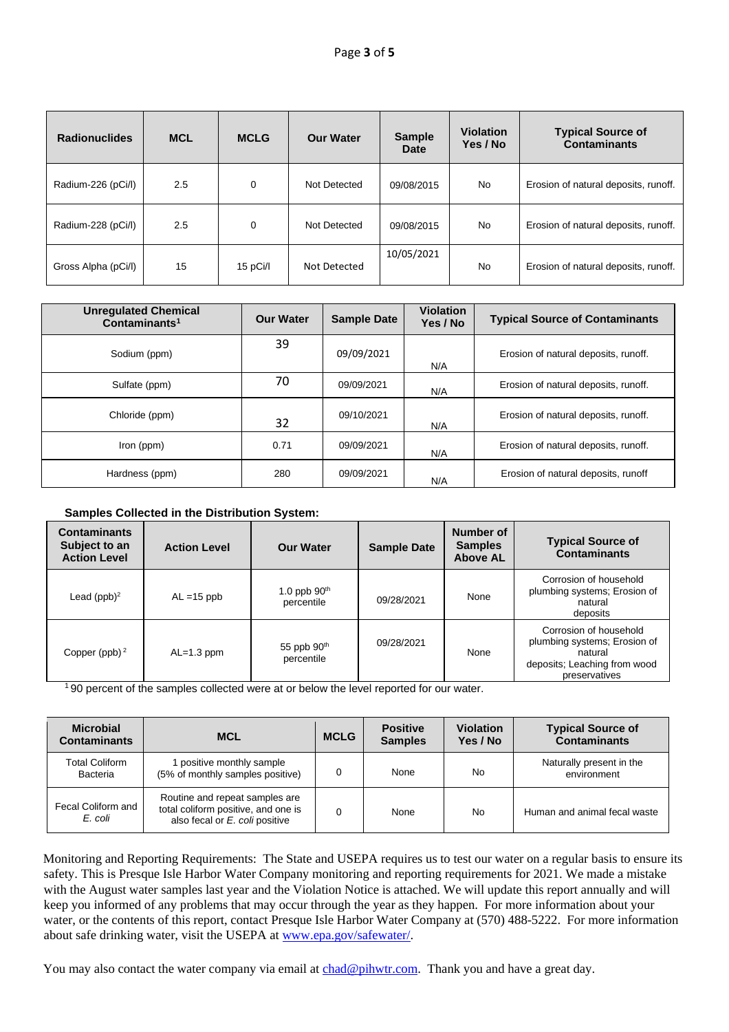| <b>Radionuclides</b> | <b>MCL</b> | <b>MCLG</b> | <b>Our Water</b> | <b>Sample</b><br>Date | <b>Violation</b><br>Yes / No | <b>Typical Source of</b><br><b>Contaminants</b> |
|----------------------|------------|-------------|------------------|-----------------------|------------------------------|-------------------------------------------------|
| Radium-226 (pCi/l)   | 2.5        | 0           | Not Detected     | 09/08/2015            | No                           | Erosion of natural deposits, runoff.            |
| Radium-228 (pCi/l)   | 2.5        | 0           | Not Detected     | 09/08/2015            | No                           | Erosion of natural deposits, runoff.            |
| Gross Alpha (pCi/l)  | 15         | 15 pCi/l    | Not Detected     | 10/05/2021            | No                           | Erosion of natural deposits, runoff.            |

| <b>Unregulated Chemical</b><br>Contaminants <sup>1</sup> | <b>Our Water</b> | <b>Sample Date</b> | <b>Violation</b><br>Yes / No | <b>Typical Source of Contaminants</b> |
|----------------------------------------------------------|------------------|--------------------|------------------------------|---------------------------------------|
| Sodium (ppm)                                             | 39               | 09/09/2021         | N/A                          | Erosion of natural deposits, runoff.  |
| Sulfate (ppm)                                            | 70               | 09/09/2021         | N/A                          | Erosion of natural deposits, runoff.  |
| Chloride (ppm)                                           | 32               | 09/10/2021         | N/A                          | Erosion of natural deposits, runoff.  |
| Iron (ppm)                                               | 0.71             | 09/09/2021         | N/A                          | Erosion of natural deposits, runoff.  |
| Hardness (ppm)                                           | 280              | 09/09/2021         | N/A                          | Erosion of natural deposits, runoff   |

#### **Samples Collected in the Distribution System:**

| <b>Contaminants</b><br>Subject to an<br><b>Action Level</b> | <b>Action Level</b> | <b>Our Water</b>             | <b>Sample Date</b> | <b>Number of</b><br><b>Samples</b><br><b>Above AL</b> | <b>Typical Source of</b><br><b>Contaminants</b>                                                                    |
|-------------------------------------------------------------|---------------------|------------------------------|--------------------|-------------------------------------------------------|--------------------------------------------------------------------------------------------------------------------|
| Lead $(ppb)^2$                                              | $AL = 15$ ppb       | 1.0 ppb $90th$<br>percentile | 09/28/2021         | None                                                  | Corrosion of household<br>plumbing systems; Erosion of<br>natural<br>deposits                                      |
| Copper (ppb) $2$                                            | $AL=1.3$ ppm        | 55 ppb $90th$<br>percentile  | 09/28/2021         | None                                                  | Corrosion of household<br>plumbing systems; Erosion of<br>natural<br>deposits; Leaching from wood<br>preservatives |

<sup>1</sup>90 percent of the samples collected were at or below the level reported for our water.

| <b>Microbial</b><br><b>Contaminants</b> | <b>MCL</b>                                                                                              | <b>MCLG</b> | <b>Positive</b><br><b>Samples</b> | <b>Violation</b><br>Yes / No | <b>Typical Source of</b><br><b>Contaminants</b> |
|-----------------------------------------|---------------------------------------------------------------------------------------------------------|-------------|-----------------------------------|------------------------------|-------------------------------------------------|
| <b>Total Coliform</b><br>Bacteria       | 1 positive monthly sample<br>(5% of monthly samples positive)                                           |             | None                              | No                           | Naturally present in the<br>environment         |
| Fecal Coliform and<br>E. coli           | Routine and repeat samples are<br>total coliform positive, and one is<br>also fecal or E. coli positive | 0           | None                              | No                           | Human and animal fecal waste                    |

Monitoring and Reporting Requirements: The State and USEPA requires us to test our water on a regular basis to ensure its safety. This is Presque Isle Harbor Water Company monitoring and reporting requirements for 2021. We made a mistake with the August water samples last year and the Violation Notice is attached. We will update this report annually and will keep you informed of any problems that may occur through the year as they happen. For more information about your water, or the contents of this report, contact Presque Isle Harbor Water Company at (570) 488-5222. For more information about safe drinking water, visit the USEPA at www.epa.gov/safewater/.

You may also contact the water company via email at chad@pihwtr.com. Thank you and have a great day.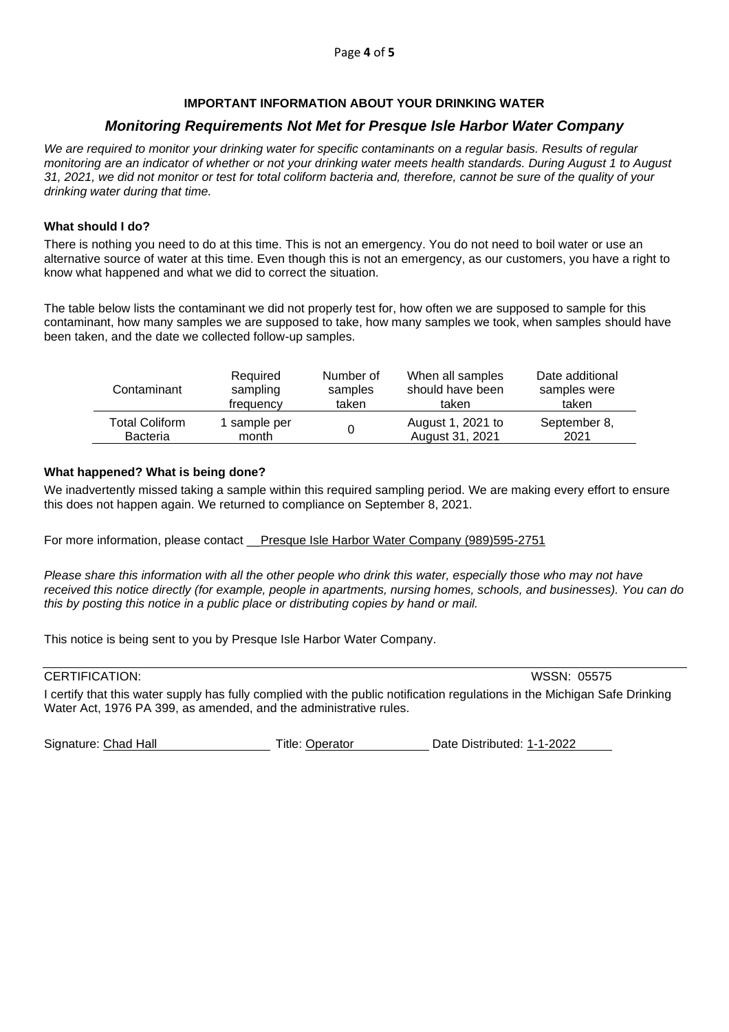#### **IMPORTANT INFORMATION ABOUT YOUR DRINKING WATER**

# *Monitoring Requirements Not Met for Presque Isle Harbor Water Company*

*We are required to monitor your drinking water for specific contaminants on a regular basis. Results of regular monitoring are an indicator of whether or not your drinking water meets health standards. During August 1 to August 31, 2021, we did not monitor or test for total coliform bacteria and, therefore, cannot be sure of the quality of your drinking water during that time.*

#### **What should I do?**

There is nothing you need to do at this time. This is not an emergency. You do not need to boil water or use an alternative source of water at this time. Even though this is not an emergency, as our customers, you have a right to know what happened and what we did to correct the situation.

The table below lists the contaminant we did not properly test for, how often we are supposed to sample for this contaminant, how many samples we are supposed to take, how many samples we took, when samples should have been taken, and the date we collected follow-up samples.

| Contaminant           | Required     | Number of | When all samples  | Date additional |
|-----------------------|--------------|-----------|-------------------|-----------------|
|                       | sampling     | samples   | should have been  | samples were    |
|                       | frequency    | taken     | taken             | taken           |
| <b>Total Coliform</b> | 1 sample per |           | August 1, 2021 to | September 8,    |
| <b>Bacteria</b>       | month        |           | August 31, 2021   | 2021            |

#### **What happened? What is being done?**

We inadvertently missed taking a sample within this required sampling period. We are making every effort to ensure this does not happen again. We returned to compliance on September 8, 2021.

For more information, please contact \_\_Presque Isle Harbor Water Company (989)595-2751

*Please share this information with all the other people who drink this water, especially those who may not have received this notice directly (for example, people in apartments, nursing homes, schools, and businesses). You can do this by posting this notice in a public place or distributing copies by hand or mail.*

This notice is being sent to you by Presque Isle Harbor Water Company.

## CERTIFICATION: WSSN: 05575

I certify that this water supply has fully complied with the public notification regulations in the Michigan Safe Drinking Water Act, 1976 PA 399, as amended, and the administrative rules.

Signature: Chad Hall Title: Operator Date Distributed: 1-1-2022